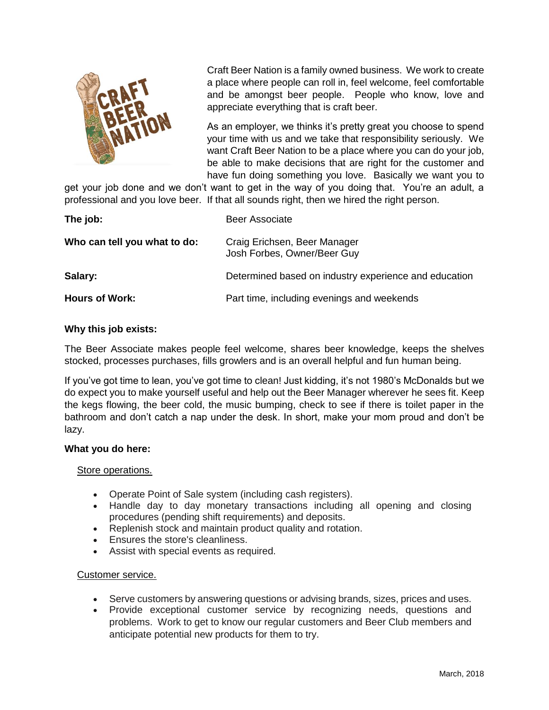

Craft Beer Nation is a family owned business. We work to create a place where people can roll in, feel welcome, feel comfortable and be amongst beer people. People who know, love and appreciate everything that is craft beer.

As an employer, we thinks it's pretty great you choose to spend your time with us and we take that responsibility seriously. We want Craft Beer Nation to be a place where you can do your job, be able to make decisions that are right for the customer and have fun doing something you love. Basically we want you to

get your job done and we don't want to get in the way of you doing that. You're an adult, a professional and you love beer. If that all sounds right, then we hired the right person.

| The job:                     | <b>Beer Associate</b>                                       |
|------------------------------|-------------------------------------------------------------|
| Who can tell you what to do: | Craig Erichsen, Beer Manager<br>Josh Forbes, Owner/Beer Guy |
| Salary:                      | Determined based on industry experience and education       |
| <b>Hours of Work:</b>        | Part time, including evenings and weekends                  |

## **Why this job exists:**

The Beer Associate makes people feel welcome, shares beer knowledge, keeps the shelves stocked, processes purchases, fills growlers and is an overall helpful and fun human being.

If you've got time to lean, you've got time to clean! Just kidding, it's not 1980's McDonalds but we do expect you to make yourself useful and help out the Beer Manager wherever he sees fit. Keep the kegs flowing, the beer cold, the music bumping, check to see if there is toilet paper in the bathroom and don't catch a nap under the desk. In short, make your mom proud and don't be lazy.

### **What you do here:**

#### Store operations.

- Operate Point of Sale system (including cash registers).
- Handle day to day monetary transactions including all opening and closing procedures (pending shift requirements) and deposits.
- Replenish stock and maintain product quality and rotation.
- **Ensures the store's cleanliness.**
- Assist with special events as required.

#### Customer service.

- Serve customers by answering questions or advising brands, sizes, prices and uses.
- Provide exceptional customer service by recognizing needs, questions and problems. Work to get to know our regular customers and Beer Club members and anticipate potential new products for them to try.